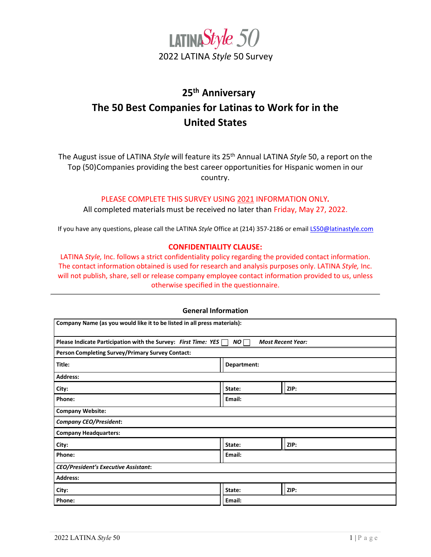

# **25th Anniversary The 50 Best Companies for Latinas to Work for in the United States**

The August issue of LATINA *Style* will feature its 25th Annual LATINA *Style* 50, a report on the Top (50)Companies providing the best career opportunities for Hispanic women in our country.

## PLEASE COMPLETE THIS SURVEY USING 2021 INFORMATION ONLY*.*

All completed materials must be received no later than Friday, May 27, 2022.

If you have any questions, please call the LATINA *Style* Office at (214) 357-2186 or email [LS50@latinastyle.com](mailto:LS50@latinastyle.com)

## **CONFIDENTIALITY CLAUSE:**

LATINA *Style,* Inc. follows a strict confidentiality policy regarding the provided contact information. The contact information obtained is used for research and analysis purposes only. LATINA *Style,* Inc. will not publish, share, sell or release company employee contact information provided to us, unless otherwise specified in the questionnaire.

| <b>General Information</b>                                               |             |                          |
|--------------------------------------------------------------------------|-------------|--------------------------|
| Company Name (as you would like it to be listed in all press materials): |             |                          |
| Please Indicate Participation with the Survey: First Time: YES $\Box$    | NO [        | <b>Most Recent Year:</b> |
| Person Completing Survey/Primary Survey Contact:                         |             |                          |
| Title:                                                                   | Department: |                          |
| <b>Address:</b>                                                          |             |                          |
| City:                                                                    | State:      | ZIP:                     |
| Phone:                                                                   | Email:      |                          |
| <b>Company Website:</b>                                                  |             |                          |
| <b>Company CEO/President:</b>                                            |             |                          |
| <b>Company Headquarters:</b>                                             |             |                          |
| City:                                                                    | State:      | ZIP:                     |
| Phone:                                                                   | Email:      |                          |
| <b>CEO/President's Executive Assistant:</b>                              |             |                          |
| <b>Address:</b>                                                          |             |                          |
| City:                                                                    | State:      | ZIP:                     |
| Phone:                                                                   | Email:      |                          |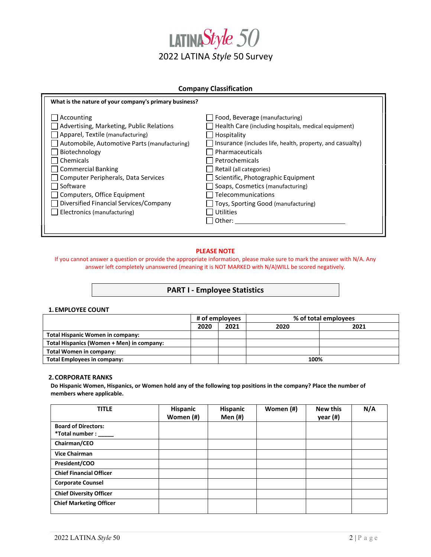

#### **Company Classification**

| What is the nature of your company's primary business?                                                                                                                                                                                                                                  |                                                                                                                                                                                                                                                                                                                                    |
|-----------------------------------------------------------------------------------------------------------------------------------------------------------------------------------------------------------------------------------------------------------------------------------------|------------------------------------------------------------------------------------------------------------------------------------------------------------------------------------------------------------------------------------------------------------------------------------------------------------------------------------|
| Accounting<br>Advertising, Marketing, Public Relations<br>Apparel, Textile (manufacturing)<br>Automobile, Automotive Parts (manufacturing)<br>Biotechnology<br>Chemicals<br><b>Commercial Banking</b><br>Computer Peripherals, Data Services<br>Software<br>Computers, Office Equipment | Food, Beverage (manufacturing)<br>Health Care (including hospitals, medical equipment)<br>Hospitality<br>Insurance (includes life, health, property, and casualty)<br>Pharmaceuticals<br>Petrochemicals<br>Retail (all categories)<br>Scientific, Photographic Equipment<br>Soaps, Cosmetics (manufacturing)<br>Telecommunications |
| Diversified Financial Services/Company                                                                                                                                                                                                                                                  | Toys, Sporting Good (manufacturing)                                                                                                                                                                                                                                                                                                |
|                                                                                                                                                                                                                                                                                         |                                                                                                                                                                                                                                                                                                                                    |
|                                                                                                                                                                                                                                                                                         |                                                                                                                                                                                                                                                                                                                                    |
| Electronics (manufacturing)                                                                                                                                                                                                                                                             | <b>Utilities</b><br>Other:                                                                                                                                                                                                                                                                                                         |
|                                                                                                                                                                                                                                                                                         |                                                                                                                                                                                                                                                                                                                                    |

#### **PLEASE NOTE**

If you cannot answer a question or provide the appropriate information, please make sure to mark the answer with N/A. Any answer left completely unanswered (meaning it is NOT MARKED with N/A)WILL be scored negatively.

#### **PART I - Employee Statistics**

#### **1. EMPLOYEE COUNT**

|                                           |      | # of employees |      | % of total employees |
|-------------------------------------------|------|----------------|------|----------------------|
|                                           | 2020 | 2021           | 2020 | 2021                 |
| Total Hispanic Women in company:          |      |                |      |                      |
| Total Hispanics (Women + Men) in company: |      |                |      |                      |
| Total Women in company:                   |      |                |      |                      |
| <b>Total Employees in company:</b>        |      |                | 100% |                      |

#### **2.CORPORATE RANKS**

**Do Hispanic Women, Hispanics, or Women hold any of the following top positions in the company? Place the number of members where applicable.**

| <b>TITLE</b>                   | Hispanic<br>Women (#) | Hispanic<br><b>Men</b> (#) | Women (#) | <b>New this</b><br>year (#) | N/A |
|--------------------------------|-----------------------|----------------------------|-----------|-----------------------------|-----|
| <b>Board of Directors:</b>     |                       |                            |           |                             |     |
| *Total number :                |                       |                            |           |                             |     |
| Chairman/CEO                   |                       |                            |           |                             |     |
| <b>Vice Chairman</b>           |                       |                            |           |                             |     |
| President/COO                  |                       |                            |           |                             |     |
| <b>Chief Financial Officer</b> |                       |                            |           |                             |     |
| <b>Corporate Counsel</b>       |                       |                            |           |                             |     |
| <b>Chief Diversity Officer</b> |                       |                            |           |                             |     |
| <b>Chief Marketing Officer</b> |                       |                            |           |                             |     |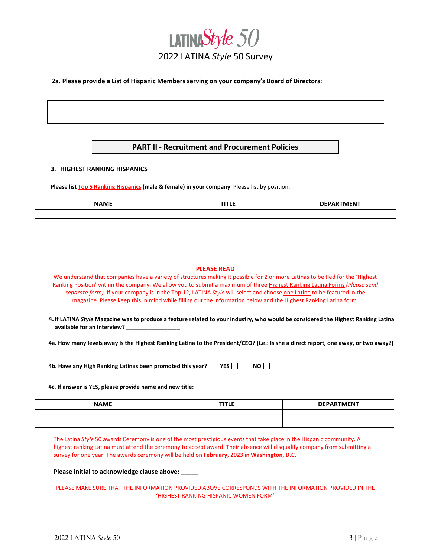

#### **2a. Please provide a List of Hispanic Members serving on your company's Board of Directors:**

## **PART II - Recruitment and Procurement Policies**

#### **3. HIGHEST RANKING HISPANICS**

**Please list Top 5 Ranking Hispanics (male & female) in your company**. Please list by position.

| <b>NAME</b> | <b>TITLE</b> | <b>DEPARTMENT</b> |
|-------------|--------------|-------------------|
|             |              |                   |
|             |              |                   |
|             |              |                   |
|             |              |                   |
|             |              |                   |

#### **PLEASE READ**

We understand that companies have a variety of structures making it possible for 2 or more Latinas to be tied for the 'Highest Ranking Position' within the company. We allow you to submit a maximum of three Highest Ranking Latina Forms *(Please send separate form).* If your company is in the Top 12, LATINA *Style* will select and choose one Latina to be featured in the magazine. Please keep this in mind while filling out the information below and the Highest Ranking Latina form*.* 

**4.If LATINA** *Style* **Magazine was to produce a feature related to your industry, who would be considered the Highest Ranking Latina available for an interview? \_\_\_\_\_\_\_\_\_\_\_\_\_\_\_\_\_** 

**4a. How many levels away is the Highest Ranking Latina to the President/CEO? (i.e.: Is she a direct report, one away, or two away?)** 

**4b. Have any High Ranking Latinas been promoted this year? YES NO**

#### **4c. If answer is YES, please provide name and new title:**

| <b>NAME</b> | <b>TITLE</b> | <b>DEPARTMENT</b> |
|-------------|--------------|-------------------|
|             |              |                   |
|             |              |                   |

The Latina *Style* 50 awards Ceremony is one of the most prestigious events that take place in the Hispanic community. A highest ranking Latina must attend the ceremony to accept award. Their absence will disqualify company from submitting a survey for one year. The awards ceremony will be held on **February, 2023 in Washington, D.C.**

#### **Please initial to acknowledge clause above: \_\_\_\_\_**

PLEASE MAKE SURE THAT THE INFORMATION PROVIDED ABOVE CORRESPONDS WITH THE INFORMATION PROVIDED IN THE 'HIGHEST RANKING HISPANIC WOMEN FORM'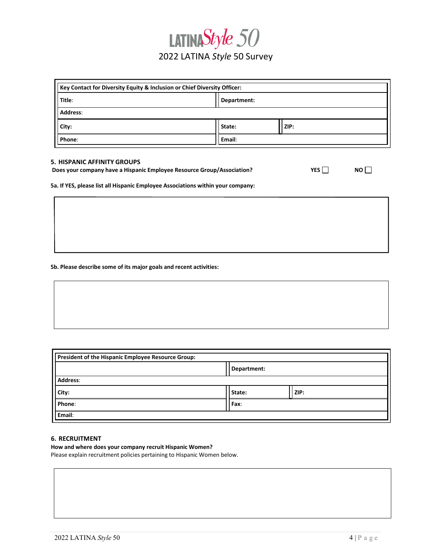# LATINAStyle 50 2022 LATINA *Style* 50 Survey

| Key Contact for Diversity Equity & Inclusion or Chief Diversity Officer: |             |      |  |
|--------------------------------------------------------------------------|-------------|------|--|
| Title:                                                                   | Department: |      |  |
| Address:                                                                 |             |      |  |
| City:                                                                    | State:      | ZIP: |  |
| Phone:                                                                   | Email:      |      |  |

#### **5. HISPANIC AFFINITY GROUPS**

| Does your company have a Hispanic Employee Resource Group/Association? | YES |  |
|------------------------------------------------------------------------|-----|--|
|------------------------------------------------------------------------|-----|--|

**5a. If YES, please list all Hispanic Employee Associations within your company:**

**5b. Please describe some of its major goals and recent activities:**

| President of the Hispanic Employee Resource Group: |             |      |  |
|----------------------------------------------------|-------------|------|--|
|                                                    | Department: |      |  |
| Address:                                           |             |      |  |
| City:                                              | State:      | ZIP: |  |
| Phone:                                             | Fax:        |      |  |
| Email:                                             |             |      |  |

#### **6. RECRUITMENT**

#### **How and where does your company recruit Hispanic Women?**

Please explain recruitment policies pertaining to Hispanic Women below.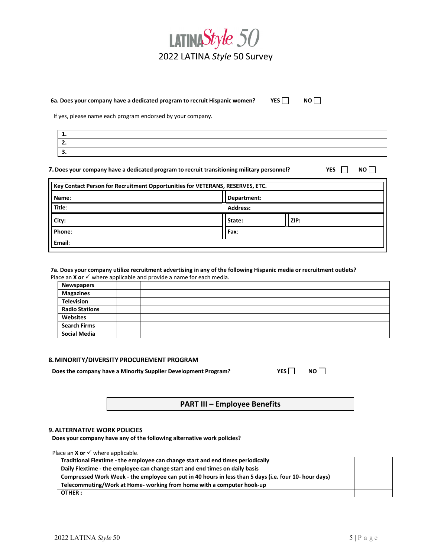

#### **6a. Does your company have a dedicated program to recruit Hispanic women? YES NO**

If yes, please name each program endorsed by your company.

| . . |  |
|-----|--|
| . . |  |
|     |  |

**7.Does your company have a dedicated program to recruit transitioning military personnel? YES NO**

| Name:  | Department:     |      |  |
|--------|-----------------|------|--|
| Title: | <b>Address:</b> |      |  |
| City:  | State:          | ZIP: |  |
| Phone: | Fax:            |      |  |

# 7a. Does your company utilize recruitment advertising in any of the following Hispanic media or recruitment outlets?

Place an  $X$  or  $\checkmark$  where applicable and provide a name for each media.

| <b>Newspapers</b>     |  |
|-----------------------|--|
| <b>Magazines</b>      |  |
| <b>Television</b>     |  |
| <b>Radio Stations</b> |  |
| Websites              |  |
| <b>Search Firms</b>   |  |
| <b>Social Media</b>   |  |

#### **8.MINORITY/DIVERSITY PROCUREMENT PROGRAM**

**Does the company have a Minority Supplier Development Program? YES NO**

|  | u |
|--|---|
|--|---|

**PART III – Employee Benefits**

#### **9.ALTERNATIVE WORK POLICIES**

**Does your company have any of the following alternative work policies?**

Place an  $X$  or  $\checkmark$  where applicable.

|                                                                       | Traditional Flextime - the employee can change start and end times periodically                       |  |
|-----------------------------------------------------------------------|-------------------------------------------------------------------------------------------------------|--|
|                                                                       | Daily Flextime - the employee can change start and end times on daily basis                           |  |
|                                                                       | Compressed Work Week - the employee can put in 40 hours in less than 5 days (i.e. four 10- hour days) |  |
| Telecommuting/Work at Home- working from home with a computer hook-up |                                                                                                       |  |
|                                                                       | OTHER:                                                                                                |  |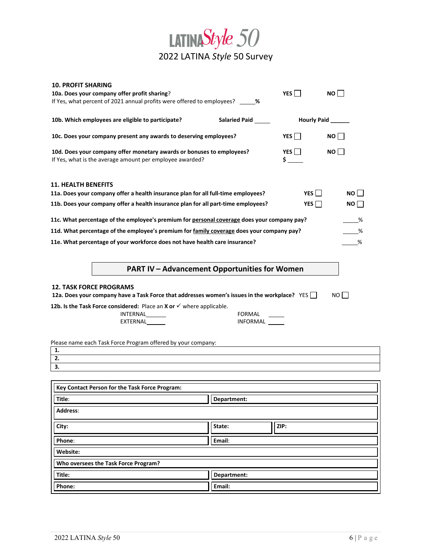

| <b>10. PROFIT SHARING</b>                                                                                       |                      |            |                   |  |
|-----------------------------------------------------------------------------------------------------------------|----------------------|------------|-------------------|--|
| 10a. Does your company offer profit sharing?                                                                    |                      | YES        | NO I              |  |
| If Yes, what percent of 2021 annual profits were offered to employees? _____ %                                  |                      |            |                   |  |
|                                                                                                                 |                      |            |                   |  |
| 10b. Which employees are eligible to participate?                                                               | Salaried Paid ______ |            | Hourly Paid _____ |  |
|                                                                                                                 |                      |            |                   |  |
| 10c. Does your company present any awards to deserving employees?                                               |                      | YES        | $NO$              |  |
| YES<br>10d. Does your company offer monetary awards or bonuses to employees?                                    |                      |            | NO                |  |
| If Yes, what is the average amount per employee awarded?                                                        |                      | \$         |                   |  |
|                                                                                                                 |                      |            |                   |  |
|                                                                                                                 |                      |            |                   |  |
| <b>11. HEALTH BENEFITS</b><br>11a. Does your company offer a health insurance plan for all full-time employees? |                      | YES        | $NO$              |  |
|                                                                                                                 |                      |            |                   |  |
| 11b. Does your company offer a health insurance plan for all part-time employees?                               |                      | YES $\Box$ | NO                |  |
| 11c. What percentage of the employee's premium for personal coverage does your company pay?                     |                      |            | %                 |  |
| 11d. What percentage of the employee's premium for family coverage does your company pay?                       |                      |            | %                 |  |
|                                                                                                                 |                      |            |                   |  |
| 11e. What percentage of your workforce does not have health care insurance?                                     |                      |            | %                 |  |
|                                                                                                                 |                      |            |                   |  |
| <b>PART IV - Advancement Opportunities for Women</b>                                                            |                      |            |                   |  |
|                                                                                                                 |                      |            |                   |  |
| <b>12. TASK FORCE PROGRAMS</b>                                                                                  |                      |            |                   |  |
| 12a. Does your company have a Task Force that addresses women's issues in the workplace? YES                    |                      |            | NO <sub>I</sub>   |  |
| 12b. Is the Task Force considered: Place an X or $\checkmark$ where applicable.                                 |                      |            |                   |  |
| INTERNAL                                                                                                        | FORMAL               |            |                   |  |
| EXTERNAL                                                                                                        | INFORMAL             |            |                   |  |
|                                                                                                                 |                      |            |                   |  |
| Please name each Task Force Program offered by your company:                                                    |                      |            |                   |  |
| 1.                                                                                                              |                      |            |                   |  |
| 2.                                                                                                              |                      |            |                   |  |
| 3.                                                                                                              |                      |            |                   |  |
|                                                                                                                 |                      |            |                   |  |
| Key Contact Person for the Task Force Program:                                                                  |                      |            |                   |  |
| Department:<br>Title:                                                                                           |                      |            |                   |  |
| <b>Address:</b>                                                                                                 |                      |            |                   |  |
|                                                                                                                 |                      |            |                   |  |
| City:                                                                                                           | State:               | ZIP:       |                   |  |
|                                                                                                                 |                      |            |                   |  |
| Phone:                                                                                                          | Email:               |            |                   |  |
| Website:                                                                                                        |                      |            |                   |  |
| Who oversees the Task Force Program?                                                                            |                      |            |                   |  |
| Title:                                                                                                          | Department:          |            |                   |  |
|                                                                                                                 |                      |            |                   |  |

Phone: **Email: Email: Email: Email: Email: Email: Email: Email: Email: Email: Email: Email: Email: Email: Email: Email: Email: Email: Email: Email: Email: Email: Email: Email:**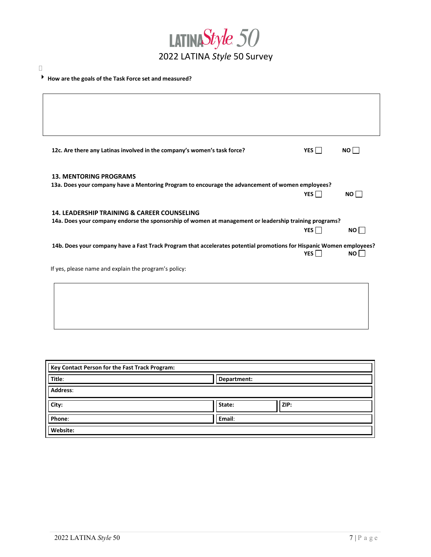

# **How are the goals of the Task Force set and measured?**

 $\Box$ 

|                               | 12c. Are there any Latinas involved in the company's women's task force? |                                                                                                                      | YES $\Box$ | $NO \Box$ |
|-------------------------------|--------------------------------------------------------------------------|----------------------------------------------------------------------------------------------------------------------|------------|-----------|
| <b>13. MENTORING PROGRAMS</b> |                                                                          |                                                                                                                      |            |           |
|                               |                                                                          | 13a. Does your company have a Mentoring Program to encourage the advancement of women employees?                     | YES $\Box$ | $NO \Box$ |
|                               |                                                                          |                                                                                                                      |            |           |
|                               | <b>14. LEADERSHIP TRAINING &amp; CAREER COUNSELING</b>                   | 14a. Does your company endorse the sponsorship of women at management or leadership training programs?               |            |           |
|                               |                                                                          |                                                                                                                      | YES $\Box$ | NO        |
|                               |                                                                          | 14b. Does your company have a Fast Track Program that accelerates potential promotions for Hispanic Women employees? | YES $\Box$ | NO II     |
|                               | If yes, please name and explain the program's policy:                    |                                                                                                                      |            |           |

| Key Contact Person for the Fast Track Program: |             |      |  |
|------------------------------------------------|-------------|------|--|
| Title:                                         | Department: |      |  |
| <b>Address:</b>                                |             |      |  |
| City:                                          | State:      | ZIP: |  |
| Phone:                                         | Email:      |      |  |
| Website:                                       |             |      |  |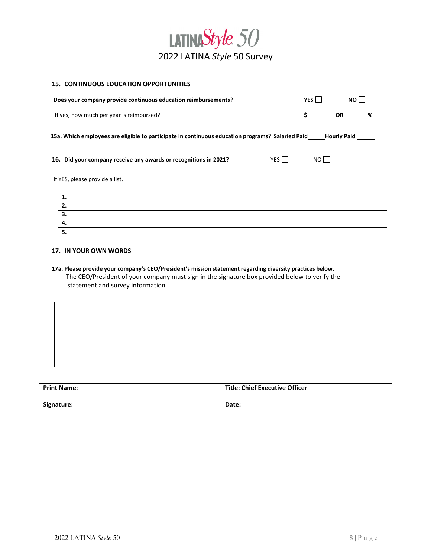

#### **15. CONTINUOUS EDUCATION OPPORTUNITIES**

| Does your company provide continuous education reimbursements?                                               | YES I                  | NO I      |  |  |
|--------------------------------------------------------------------------------------------------------------|------------------------|-----------|--|--|
| If yes, how much per year is reimbursed?                                                                     | \$                     | OR<br>- % |  |  |
| 15a. Which employees are eligible to participate in continuous education programs? Salaried Paid Hourly Paid |                        |           |  |  |
| 16. Did your company receive any awards or recognitions in 2021?                                             | YES<br>NO <sub>1</sub> |           |  |  |
| If YES, please provide a list.                                                                               |                        |           |  |  |
| 1.                                                                                                           |                        |           |  |  |
| 2.                                                                                                           |                        |           |  |  |
| 3.                                                                                                           |                        |           |  |  |
| 4.                                                                                                           |                        |           |  |  |
| 5.                                                                                                           |                        |           |  |  |

#### **17. IN YOUR OWN WORDS**

**17a. Please provide your company's CEO/President's mission statement regarding diversity practices below.** The CEO/President of your company must sign in the signature box provided below to verify the statement and survey information.

| <b>Print Name:</b> | <b>Title: Chief Executive Officer</b> |
|--------------------|---------------------------------------|
| Signature:         | Date:                                 |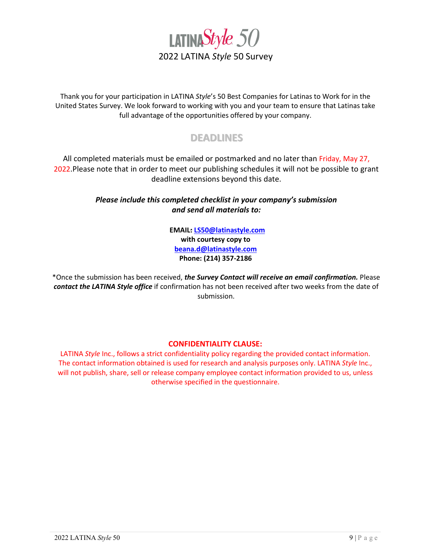

Thank you for your participation in LATINA *Style*'s 50 Best Companies for Latinas to Work for in the United States Survey. We look forward to working with you and your team to ensure that Latinas take full advantage of the opportunities offered by your company.

# **DEADLINES**

All completed materials must be emailed or postmarked and no later than Friday, May 27, 2022. Please note that in order to meet our publishing schedules it will not be possible to grant deadline extensions beyond this date.

# *Please include this completed checklist in your company's submission and send all materials to:*

**EMAIL[: LS50@latinastyle.com](mailto:LS50@latinastyle.com) with courtesy copy to [beana.d@latinastyle.com](mailto:beana.d@latinastyle.com)  Phone: (214) 357-2186**

\*Once the submission has been received, *the Survey Contact will receive an email confirmation.* Please *contact the LATINA Style office* if confirmation has not been received after two weeks from the date of submission.

# **CONFIDENTIALITY CLAUSE:**

LATINA *Style* Inc., follows a strict confidentiality policy regarding the provided contact information. The contact information obtained is used for research and analysis purposes only. LATINA *Style* Inc., will not publish, share, sell or release company employee contact information provided to us, unless otherwise specified in the questionnaire.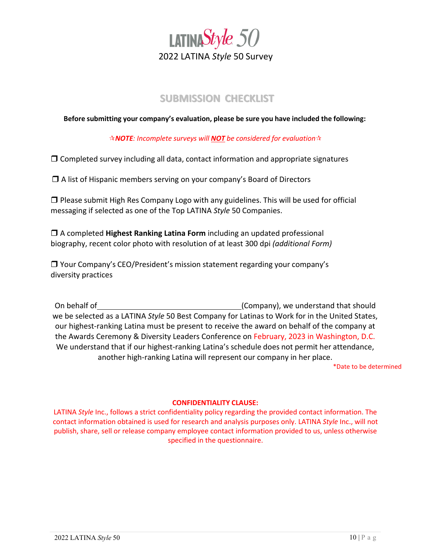

# **SUBMISSION CHECKLIST**

**Before submitting your company's evaluation, please be sure you have included the following:**

*NOTE: Incomplete surveys will NOT be considered for evaluation*

 $\Box$  Completed survey including all data, contact information and appropriate signatures

 $\Box$  A list of Hispanic members serving on your company's Board of Directors

 $\Box$  Please submit High Res Company Logo with any guidelines. This will be used for official messaging if selected as one of the Top LATINA *Style* 50 Companies.

 A completed **Highest Ranking Latina Form** including an updated professional biography, recent color photo with resolution of at least 300 dpi *(additional Form)*

 Your Company's CEO/President's mission statement regarding your company's diversity practices

On behalf of (Company), we understand that should we be selected as a LATINA *Style* 50 Best Company for Latinas to Work for in the United States, our highest-ranking Latina must be present to receive the award on behalf of the company at the Awards Ceremony & Diversity Leaders Conference on February, 2023 in Washington, D.C. We understand that if our highest-ranking Latina's schedule does not permit her attendance, another high-ranking Latina will represent our company in her place.

\*Date to be determined

### **CONFIDENTIALITY CLAUSE:**

LATINA *Style* Inc., follows a strict confidentiality policy regarding the provided contact information. The contact information obtained is used for research and analysis purposes only. LATINA *Style* Inc., will not publish, share, sell or release company employee contact information provided to us, unless otherwise specified in the questionnaire.